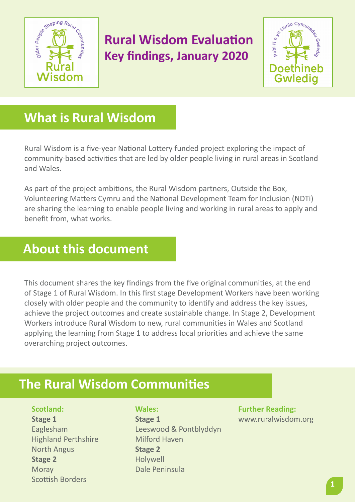

# **Rural Wisdom Evaluation Key findings, January 2020**



# **What is Rural Wisdom**

Rural Wisdom is a five-year National Lottery funded project exploring the impact of community-based activities that are led by older people living in rural areas in Scotland and Wales.

As part of the project ambitions, the Rural Wisdom partners, Outside the Box, Volunteering Matters Cymru and the National Development Team for Inclusion (NDTi) are sharing the learning to enable people living and working in rural areas to apply and benefit from, what works.

## **About this document**

This document shares the key findings from the five original communities, at the end of Stage 1 of Rural Wisdom. In this first stage Development Workers have been working closely with older people and the community to identify and address the key issues, achieve the project outcomes and create sustainable change. In Stage 2, Development Workers introduce Rural Wisdom to new, rural communities in Wales and Scotland applying the learning from Stage 1 to address local priorities and achieve the same overarching project outcomes.

## **The Rural Wisdom Communities**

**Scotland:**

**Stage 1** Eaglesham Highland Perthshire North Angus **Stage 2 Moray** Scottish Borders

**Wales:**

**Stage 1** Leeswood & Pontblyddyn Milford Haven **Stage 2** Holywell Dale Peninsula

**Further Reading:** [www.ruralwisdom.org](http://www.ruralwisdom.org)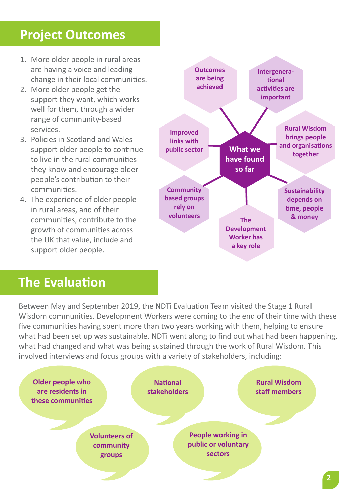# **Project Outcomes**

- 1. More older people in rural areas are having a voice and leading change in their local communities.
- 2. More older people get the support they want, which works well for them, through a wider range of community-based services.
- 3. Policies in Scotland and Wales support older people to continue to live in the rural communities they know and encourage older people's contribution to their communities.
- 4. The experience of older people in rural areas, and of their communities, contribute to the growth of communities across the UK that value, include and support older people.



### **The Evaluation**

Between May and September 2019, the NDTi Evaluation Team visited the Stage 1 Rural Wisdom communities. Development Workers were coming to the end of their time with these five communities having spent more than two years working with them, helping to ensure what had been set up was sustainable. NDTi went along to find out what had been happening, what had changed and what was being sustained through the work of Rural Wisdom. This involved interviews and focus groups with a variety of stakeholders, including:

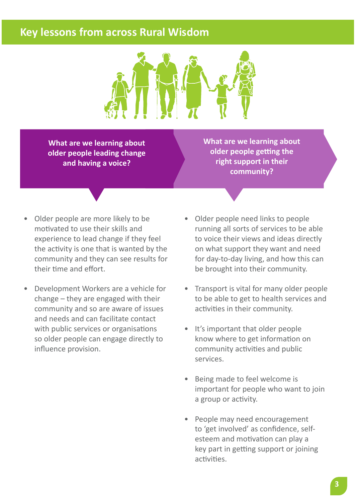#### **Key lessons from across Rural Wisdom**



**What are we learning about older people leading change and having a voice?**

**What are we learning about older people getting the right support in their community?**

- Older people are more likely to be motivated to use their skills and experience to lead change if they feel the activity is one that is wanted by the community and they can see results for their time and effort.
- Development Workers are a vehicle for change – they are engaged with their community and so are aware of issues and needs and can facilitate contact with public services or organisations so older people can engage directly to influence provision.
- Older people need links to people running all sorts of services to be able to voice their views and ideas directly on what support they want and need for day-to-day living, and how this can be brought into their community.
- Transport is vital for many older people to be able to get to health services and activities in their community.
- It's important that older people know where to get information on community activities and public services.
- Being made to feel welcome is important for people who want to join a group or activity.
- People may need encouragement to 'get involved' as confidence, selfesteem and motivation can play a key part in getting support or joining activities.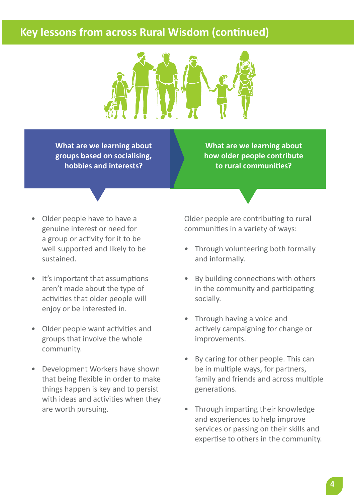#### **Key lessons from across Rural Wisdom (continued)**



**What are we learning about groups based on socialising, hobbies and interests?**

**What are we learning about how older people contribute to rural communities?**

- Older people have to have a genuine interest or need for a group or activity for it to be well supported and likely to be sustained.
- It's important that assumptions aren't made about the type of activities that older people will enjoy or be interested in.
- Older people want activities and groups that involve the whole community.
- Development Workers have shown that being flexible in order to make things happen is key and to persist with ideas and activities when they are worth pursuing.

Older people are contributing to rural communities in a variety of ways:

- Through volunteering both formally and informally.
- By building connections with others in the community and participating socially.
- Through having a voice and actively campaigning for change or improvements.
- By caring for other people. This can be in multiple ways, for partners, family and friends and across multiple generations.
- Through imparting their knowledge and experiences to help improve services or passing on their skills and expertise to others in the community.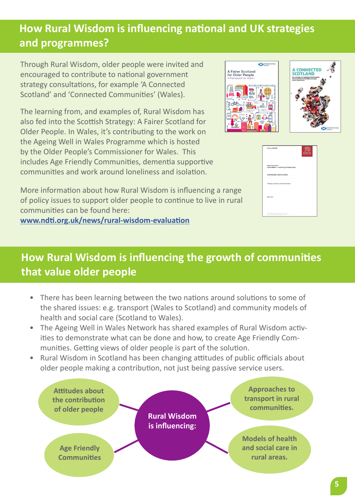### **How Rural Wisdom is influencing national and UK strategies and programmes?**

Through Rural Wisdom, older people were invited and encouraged to contribute to national government strategy consultations, for example 'A Connected Scotland' and 'Connected Communities' (Wales).

The learning from, and examples of, Rural Wisdom has also fed into the Scottish Strategy: A Fairer Scotland for Older People. In Wales, it's contributing to the work on the Ageing Well in Wales Programme which is hosted by the Older People's Commissioner for Wales. This includes Age Friendly Communities, dementia supportive communities and work around loneliness and isolation.



| Number: W035902                                                                                   | M-Gm |
|---------------------------------------------------------------------------------------------------|------|
| Weish Government<br>Consultation - summary of responses                                           |      |
| <b>Connected Communities</b>                                                                      |      |
| Tacking Loneliness and Social Isolation                                                           |      |
| <b>March 2019</b>                                                                                 |      |
| Max's distuplers uring highed an dated yis Command.<br>This document is also available in their). |      |

More information about how Rural Wisdom is influencing a range of policy issues to support older people to continue to live in rural communities can be found here: **[www.ndti.org.uk/news/rural-wisdom-evaluation](http://www.ndti.org.uk/news/rural-wisdom-evaluation)**

## **How Rural Wisdom is influencing the growth of communities that value older people**

- There has been learning between the two nations around solutions to some of the shared issues: e.g. transport (Wales to Scotland) and community models of health and social care (Scotland to Wales).
- The Ageing Well in Wales Network has shared examples of Rural Wisdom activities to demonstrate what can be done and how, to create Age Friendly Communities. Getting views of older people is part of the solution.
- Rural Wisdom in Scotland has been changing attitudes of public officials about older people making a contribution, not just being passive service users.

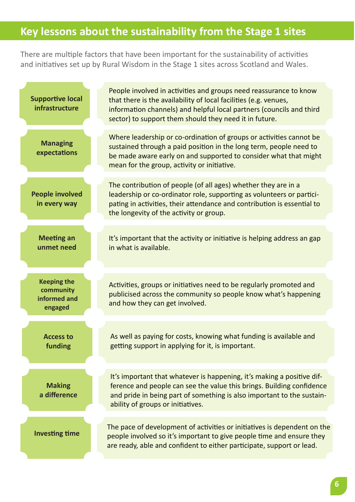#### **Key lessons about the sustainability from the Stage 1 sites**

There are multiple factors that have been important for the sustainability of activities and initiatives set up by Rural Wisdom in the Stage 1 sites across Scotland and Wales.

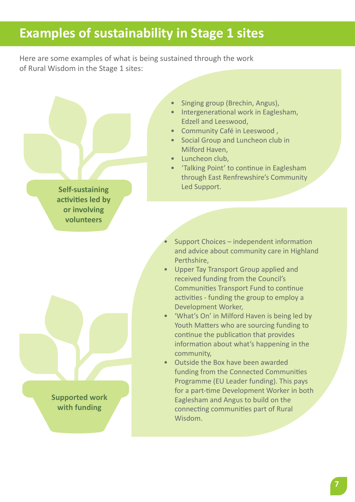# **Examples of sustainability in Stage 1 sites**

Here are some examples of what is being sustained through the work of Rural Wisdom in the Stage 1 sites:

**Self-sustaining activities led by or involving volunteers**

> **Supported work with funding**

- Singing group (Brechin, Angus),
- Intergenerational work in Eaglesham, Edzell and Leeswood,
- Community Café in Leeswood ,
- Social Group and Luncheon club in Milford Haven,
- Luncheon club,
- 'Talking Point' to continue in Eaglesham through East Renfrewshire's Community Led Support.
- Support Choices independent information and advice about community care in Highland Perthshire,
- Upper Tay Transport Group applied and received funding from the Council's Communities Transport Fund to continue activities - funding the group to employ a Development Worker,
- 'What's On' in Milford Haven is being led by Youth Matters who are sourcing funding to continue the publication that provides information about what's happening in the community,
- Outside the Box have been awarded funding from the Connected Communities Programme (EU Leader funding). This pays for a part-time Development Worker in both Eaglesham and Angus to build on the connecting communities part of Rural Wisdom.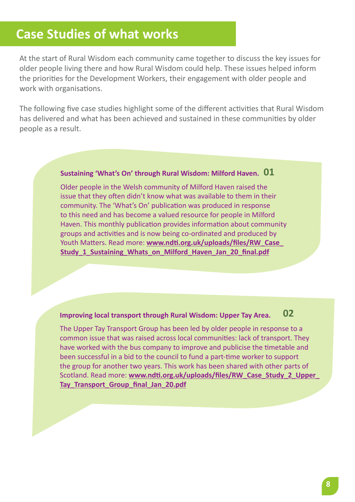### **Case Studies of what works**

At the start of Rural Wisdom each community came together to discuss the key issues for older people living there and how Rural Wisdom could help. These issues helped inform the priorities for the Development Workers, their engagement with older people and work with organisations.

The following five case studies highlight some of the different activities that Rural Wisdom has delivered and what has been achieved and sustained in these communities by older people as a result.

#### **Sustaining 'What's On' through Rural Wisdom: Milford Haven. 01**

Older people in the Welsh community of Milford Haven raised the issue that they often didn't know what was available to them in their community. The 'What's On' publication was produced in response to this need and has become a valued resource for people in Milford Haven. This monthly publication provides information about community groups and activities and is now being co-ordinated and produced by Youth Matters. Read more: **[www.ndti.org.uk/uploads/files/RW\\_Case\\_](http://www.ndti.org.uk/uploads/files/RW_Case_Study_1_Sustaining_Whats_on_Milford_Haven_Jan_20_final.pdf) Study 1 Sustaining Whats on Milford Haven Jan 20 final.pdf** 

#### **Improving local transport through Rural Wisdom: Upper Tay Area. 02**

The Upper Tay Transport Group has been led by older people in response to a common issue that was raised across local communities: lack of transport. They have worked with the bus company to improve and publicise the timetable and been successful in a bid to the council to fund a part-time worker to support the group for another two years. This work has been shared with other parts of Scotland. Read more: **[www.ndti.org.uk/uploads/files/RW\\_Case\\_Study\\_2\\_Upper\\_](https://www.ndti.org.uk/uploads/files/RW_Case_Study_2_Upper_Tay_Transport_Group_final_Jan_20.pdf) [Tay\\_Transport\\_Group\\_final\\_Jan\\_20.pdf](https://www.ndti.org.uk/uploads/files/RW_Case_Study_2_Upper_Tay_Transport_Group_final_Jan_20.pdf)**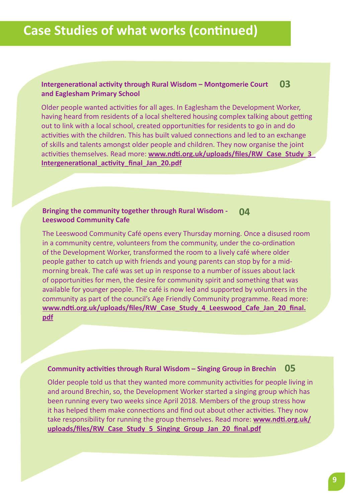#### **Intergenerational activity through Rural Wisdom – Montgomerie Court and Eaglesham Primary School 03**

Older people wanted activities for all ages. In Eaglesham the Development Worker, having heard from residents of a local sheltered housing complex talking about getting out to link with a local school, created opportunities for residents to go in and do activities with the children. This has built valued connections and led to an exchange of skills and talents amongst older people and children. They now organise the joint activities themselves. Read more: **[www.ndti.org.uk/uploads/files/RW\\_Case\\_Study\\_3\\_](http://www.ndti.org.uk/uploads/files/RW_Case_Study_3_Intergenerational_activity_final_Jan_20.pdf) [Intergenerational\\_activity\\_final\\_Jan\\_20.pdf](http://www.ndti.org.uk/uploads/files/RW_Case_Study_3_Intergenerational_activity_final_Jan_20.pdf)**

#### **Bringing the community together through Rural Wisdom - Leeswood Community Cafe 04**

The Leeswood Community Café opens every Thursday morning. Once a disused room in a community centre, volunteers from the community, under the co-ordination of the Development Worker, transformed the room to a lively café where older people gather to catch up with friends and young parents can stop by for a midmorning break. The café was set up in response to a number of issues about lack of opportunities for men, the desire for community spirit and something that was available for younger people. The café is now led and supported by volunteers in the community as part of the council's Age Friendly Community programme. Read more: **[www.ndti.org.uk/uploads/files/RW\\_Case\\_Study\\_4\\_Leeswood\\_Cafe\\_Jan\\_20\\_final.](https://www.ndti.org.uk/uploads/files/RW_Case_Study_4_Leeswood_Cafe_Jan_20_final.pdf) [pdf](https://www.ndti.org.uk/uploads/files/RW_Case_Study_4_Leeswood_Cafe_Jan_20_final.pdf)**

#### **Community activities through Rural Wisdom – Singing Group in Brechin 05**

Older people told us that they wanted more community activities for people living in and around Brechin, so, the Development Worker started a singing group which has been running every two weeks since April 2018. Members of the group stress how it has helped them make connections and find out about other activities. They now take responsibility for running the group themselves. Read more: **[www.ndti.org.uk/](https://www.ndti.org.uk/uploads/files/RW_Case_Study_5_Singing_Group_Jan_20_final.pdf) [uploads/files/RW\\_Case\\_Study\\_5\\_Singing\\_Group\\_Jan\\_20\\_final.pdf](https://www.ndti.org.uk/uploads/files/RW_Case_Study_5_Singing_Group_Jan_20_final.pdf)**